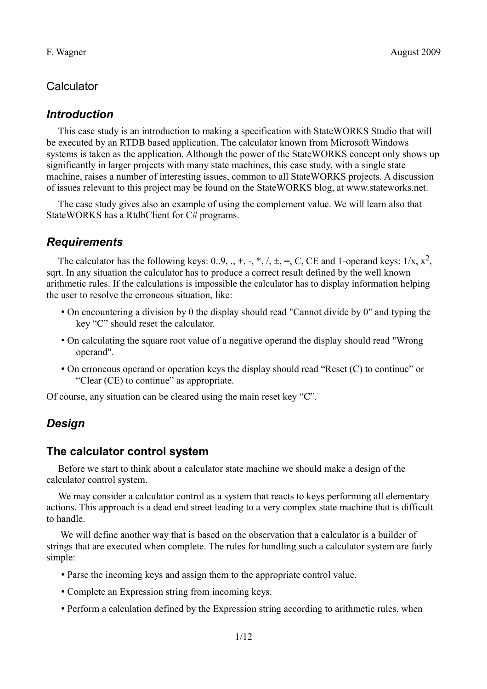# **Calculator**

## *Introduction*

This case study is an introduction to making a specification with StateWORKS Studio that will be executed by an RTDB based application. The calculator known from Microsoft Windows systems is taken as the application. Although the power of the StateWORKS concept only shows up significantly in larger projects with many state machines, this case study, with a single state machine, raises a number of interesting issues, common to all StateWORKS projects. A discussion of issues relevant to this project may be found on the StateWORKS blog, at www.stateworks.net.

The case study gives also an example of using the complement value. We will learn also that StateWORKS has a RtdbClient for C# programs.

# *Requirements*

The calculator has the following keys: 0..9, ., +, -, \*, /,  $\pm$ , =, C, CE and 1-operand keys:  $1/x$ ,  $x^2$ , sqrt. In any situation the calculator has to produce a correct result defined by the well known arithmetic rules. If the calculations is impossible the calculator has to display information helping the user to resolve the erroneous situation, like:

- On encountering a division by 0 the display should read "Cannot divide by 0" and typing the key "C" should reset the calculator.
- On calculating the square root value of a negative operand the display should read "Wrong operand".
- On erroneous operand or operation keys the display should read "Reset (C) to continue" or "Clear (CE) to continue" as appropriate.

Of course, any situation can be cleared using the main reset key "C".

# *Design*

## **The calculator control system**

Before we start to think about a calculator state machine we should make a design of the calculator control system.

We may consider a calculator control as a system that reacts to keys performing all elementary actions. This approach is a dead end street leading to a very complex state machine that is difficult to handle.

 We will define another way that is based on the observation that a calculator is a builder of strings that are executed when complete. The rules for handling such a calculator system are fairly simple:

- Parse the incoming keys and assign them to the appropriate control value.
- Complete an Expression string from incoming keys.
- Perform a calculation defined by the Expression string according to arithmetic rules, when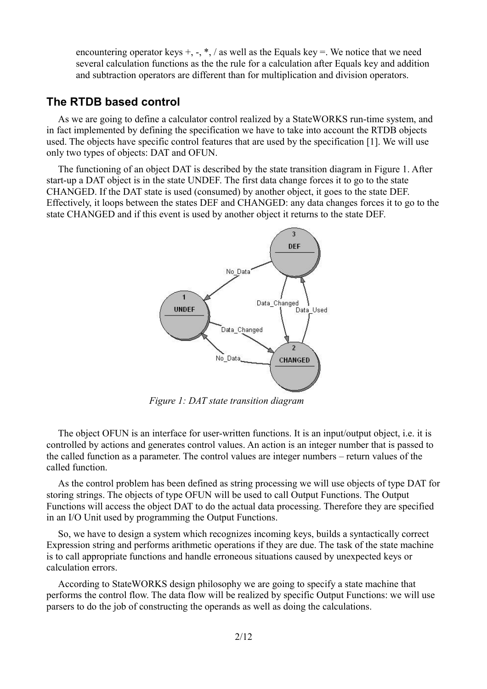encountering operator keys  $+$ ,  $-$ ,  $*$ , / as well as the Equals key  $=$ . We notice that we need several calculation functions as the the rule for a calculation after Equals key and addition and subtraction operators are different than for multiplication and division operators.

## **The RTDB based control**

As we are going to define a calculator control realized by a StateWORKS run-time system, and in fact implemented by defining the specification we have to take into account the RTDB objects used. The objects have specific control features that are used by the specification [1]. We will use only two types of objects: DAT and OFUN.

The functioning of an object DAT is described by the state transition diagram in [Figure 1.](#page-1-0) After start-up a DAT object is in the state UNDEF. The first data change forces it to go to the state CHANGED. If the DAT state is used (consumed) by another object, it goes to the state DEF. Effectively, it loops between the states DEF and CHANGED: any data changes forces it to go to the state CHANGED and if this event is used by another object it returns to the state DEF.



<span id="page-1-0"></span>*Figure 1: DAT state transition diagram*

The object OFUN is an interface for user-written functions. It is an input/output object, i.e. it is controlled by actions and generates control values. An action is an integer number that is passed to the called function as a parameter. The control values are integer numbers – return values of the called function.

As the control problem has been defined as string processing we will use objects of type DAT for storing strings. The objects of type OFUN will be used to call Output Functions. The Output Functions will access the object DAT to do the actual data processing. Therefore they are specified in an I/O Unit used by programming the Output Functions.

So, we have to design a system which recognizes incoming keys, builds a syntactically correct Expression string and performs arithmetic operations if they are due. The task of the state machine is to call appropriate functions and handle erroneous situations caused by unexpected keys or calculation errors.

According to StateWORKS design philosophy we are going to specify a state machine that performs the control flow. The data flow will be realized by specific Output Functions: we will use parsers to do the job of constructing the operands as well as doing the calculations.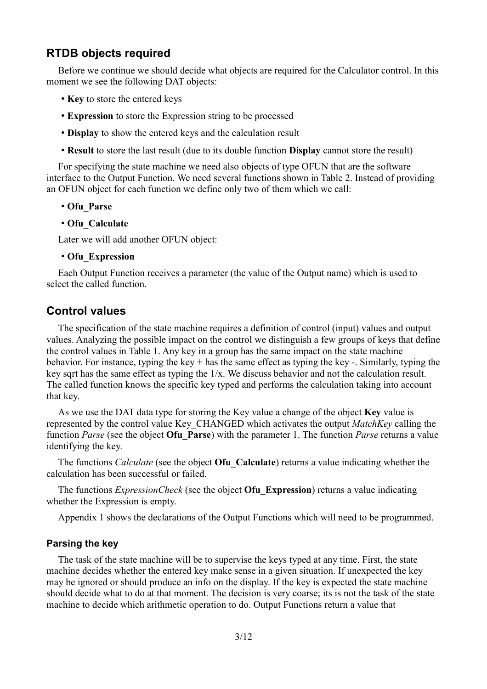## **RTDB objects required**

Before we continue we should decide what objects are required for the Calculator control. In this moment we see the following DAT objects:

- **Key** to store the entered keys
- **Expression** to store the Expression string to be processed
- **Display** to show the entered keys and the calculation result
- **Result** to store the last result (due to its double function **Display** cannot store the result)

For specifying the state machine we need also objects of type OFUN that are the software interface to the Output Function. We need several functions shown in [Table 2.](#page-4-0) Instead of providing an OFUN object for each function we define only two of them which we call:

- **Ofu\_Parse**
- **Ofu\_Calculate**

Later we will add another OFUN object:

#### • **Ofu\_Expression**

Each Output Function receives a parameter (the value of the Output name) which is used to select the called function.

### **Control values**

The specification of the state machine requires a definition of control (input) values and output values. Analyzing the possible impact on the control we distinguish a few groups of keys that define the control values in [Table 1.](#page-3-0) Any key in a group has the same impact on the state machine behavior. For instance, typing the key + has the same effect as typing the key -. Similarly, typing the key sqrt has the same effect as typing the 1/x. We discuss behavior and not the calculation result. The called function knows the specific key typed and performs the calculation taking into account that key.

As we use the DAT data type for storing the Key value a change of the object **Key** value is represented by the control value Key\_CHANGED which activates the output *MatchKey* calling the function *Parse* (see the object **Ofu\_Parse**) with the parameter 1. The function *Parse* returns a value identifying the key.

The functions *Calculate* (see the object **Ofu\_Calculate**) returns a value indicating whether the calculation has been successful or failed.

The functions *ExpressionCheck* (see the object **Ofu\_Expression**) returns a value indicating whether the Expression is empty.

Appendix 1 shows the declarations of the Output Functions which will need to be programmed.

#### <span id="page-2-0"></span>**Parsing the key**

The task of the state machine will be to supervise the keys typed at any time. First, the state machine decides whether the entered key make sense in a given situation. If unexpected the key may be ignored or should produce an info on the display. If the key is expected the state machine should decide what to do at that moment. The decision is very coarse; its is not the task of the state machine to decide which arithmetic operation to do. Output Functions return a value that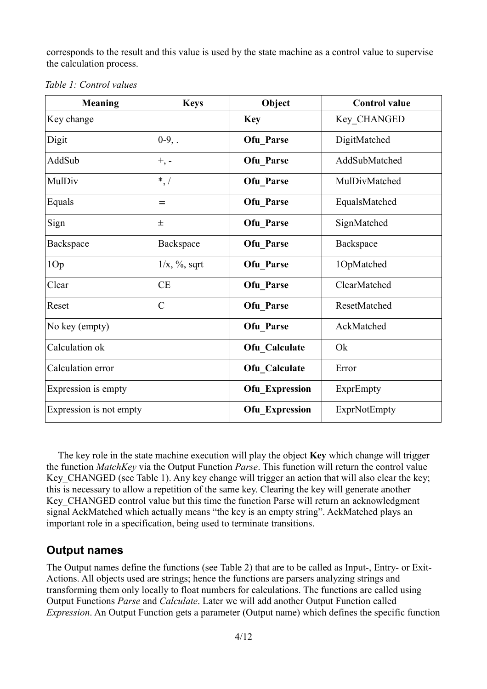corresponds to the result and this value is used by the state machine as a control value to supervise the calculation process.

| <b>Meaning</b>          | <b>Keys</b>      | Object                | <b>Control value</b> |
|-------------------------|------------------|-----------------------|----------------------|
| Key change              |                  | <b>Key</b>            | Key CHANGED          |
| Digit                   | $0-9,$ .         | Ofu Parse             | DigitMatched         |
| AddSub                  | $+,\,$ -         | Ofu_Parse             | AddSubMatched        |
| MulDiv                  | $*,/$            | Ofu Parse             | MulDivMatched        |
| Equals                  | =                | Ofu_Parse             | EqualsMatched        |
| Sign                    | 士                | Ofu Parse             | SignMatched          |
| Backspace               | Backspace        | Ofu Parse             | Backspace            |
| 1Op                     | $1/x, \%$ , sqrt | Ofu Parse             | 1OpMatched           |
| Clear                   | <b>CE</b>        | Ofu Parse             | ClearMatched         |
| Reset                   | $\mathcal{C}$    | Ofu Parse             | ResetMatched         |
| No key (empty)          |                  | Ofu Parse             | AckMatched           |
| Calculation ok          |                  | Ofu Calculate         | Ok                   |
| Calculation error       |                  | Ofu Calculate         | Error                |
| Expression is empty     |                  | <b>Ofu_Expression</b> | ExprEmpty            |
| Expression is not empty |                  | <b>Ofu_Expression</b> | ExprNotEmpty         |

<span id="page-3-0"></span>*Table 1: Control values*

The key role in the state machine execution will play the object **Key** which change will trigger the function *MatchKey* via the Output Function *Parse*. This function will return the control value Key CHANGED (see [Table 1\)](#page-3-0). Any key change will trigger an action that will also clear the key; this is necessary to allow a repetition of the same key. Clearing the key will generate another Key CHANGED control value but this time the function Parse will return an acknowledgment signal AckMatched which actually means "the key is an empty string". AckMatched plays an important role in a specification, being used to terminate transitions.

# **Output names**

The Output names define the functions (see [Table 2\)](#page-4-0) that are to be called as Input-, Entry- or Exit-Actions. All objects used are strings; hence the functions are parsers analyzing strings and transforming them only locally to float numbers for calculations. The functions are called using Output Functions *Parse* and *Calculate*. Later we will add another Output Function called *Expression*. An Output Function gets a parameter (Output name) which defines the specific function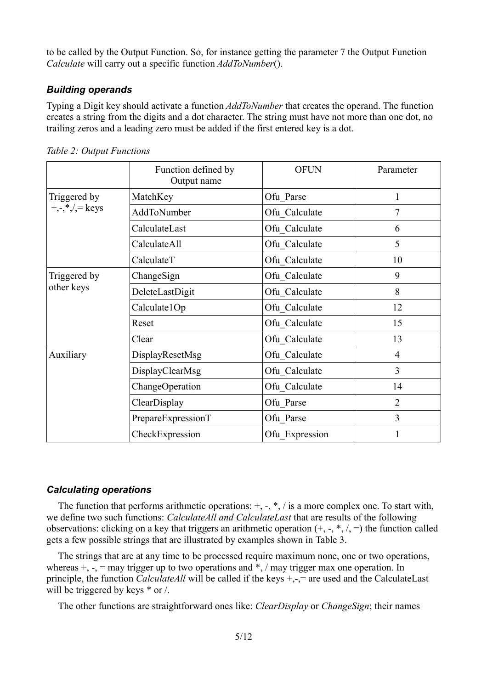to be called by the Output Function. So, for instance getting the parameter 7 the Output Function *Calculate* will carry out a specific function *AddToNumber*().

### *Building operands*

Typing a Digit key should activate a function *AddToNumber* that creates the operand. The function creates a string from the digits and a dot character. The string must have not more than one dot, no trailing zeros and a leading zero must be added if the first entered key is a dot.

|                                                             | Function defined by<br>Output name | <b>OFUN</b>    | Parameter      |
|-------------------------------------------------------------|------------------------------------|----------------|----------------|
| Triggered by<br>$+, \frac{*}{*}, \frac{*}{*} = \text{keys}$ | MatchKey                           | Ofu Parse      | 1              |
|                                                             | AddToNumber                        | Ofu Calculate  | 7              |
|                                                             | CalculateLast                      | Ofu Calculate  | 6              |
|                                                             | CalculateAll                       | Ofu Calculate  | 5              |
|                                                             | CalculateT                         | Ofu Calculate  | 10             |
| Triggered by<br>other keys                                  | ChangeSign                         | Ofu Calculate  | 9              |
|                                                             | DeleteLastDigit                    | Ofu Calculate  | 8              |
|                                                             | Calculate1Op                       | Ofu Calculate  | 12             |
|                                                             | Reset                              | Ofu Calculate  | 15             |
|                                                             | Clear                              | Ofu Calculate  | 13             |
| Auxiliary                                                   | DisplayResetMsg                    | Ofu Calculate  | 4              |
|                                                             | DisplayClearMsg                    | Ofu Calculate  | 3              |
|                                                             | ChangeOperation                    | Ofu Calculate  | 14             |
|                                                             | ClearDisplay                       | Ofu Parse      | $\overline{2}$ |
|                                                             | PrepareExpressionT                 | Ofu_Parse      | 3              |
|                                                             | CheckExpression                    | Ofu Expression |                |

<span id="page-4-0"></span>*Table 2: Output Functions*

### *Calculating operations*

The function that performs arithmetic operations:  $+$ ,  $-$ ,  $*$ ,  $\prime$  is a more complex one. To start with, we define two such functions: *CalculateAll and CalculateLast* that are results of the following observations: clicking on a key that triggers an arithmetic operation  $(+, -, *, /, =)$  the function called gets a few possible strings that are illustrated by examples shown in [Table 3.](#page-5-0)

The strings that are at any time to be processed require maximum none, one or two operations, whereas  $+$ ,  $-$ ,  $=$  may trigger up to two operations and  $*$ ,  $/$  may trigger max one operation. In principle, the function *CalculateAll* will be called if the keys +,-,= are used and the CalculateLast will be triggered by keys  $*$  or /.

The other functions are straightforward ones like: *ClearDisplay* or *ChangeSign*; their names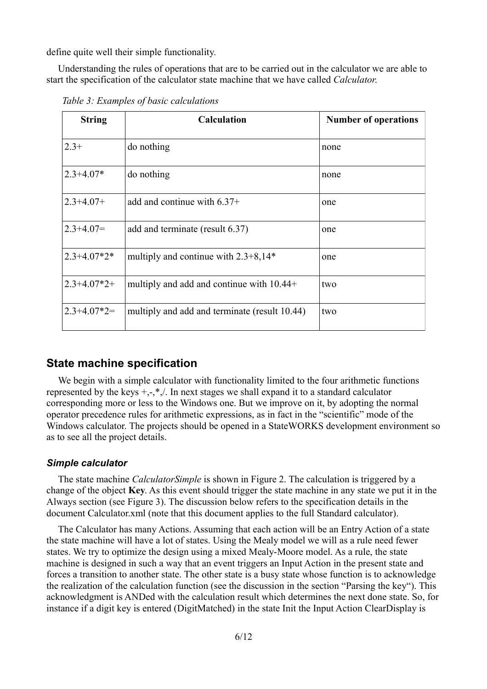define quite well their simple functionality.

Understanding the rules of operations that are to be carried out in the calculator we are able to start the specification of the calculator state machine that we have called *Calculator*.

| <b>String</b>           | <b>Calculation</b>                            | <b>Number of operations</b> |
|-------------------------|-----------------------------------------------|-----------------------------|
| $2.3+$                  | do nothing                                    | none                        |
| $2.3 + 4.07*$           | do nothing                                    | none                        |
| $2.3 + 4.07 +$          | add and continue with $6.37+$                 | one                         |
| $2.3 + 4.07 =$          | add and terminate (result 6.37)               | one                         |
| $2.3 + 4.07*2*$         | multiply and continue with $2.3+8.14*$        | one                         |
| $2.3 + 4.07 \times 2 +$ | multiply and add and continue with $10.44+$   | two                         |
| $2.3 + 4.07*2 =$        | multiply and add and terminate (result 10.44) | two                         |

<span id="page-5-0"></span>*Table 3: Examples of basic calculations*

### **State machine specification**

We begin with a simple calculator with functionality limited to the four arithmetic functions represented by the keys  $+,-$ ,\*, $/$ . In next stages we shall expand it to a standard calculator corresponding more or less to the Windows one. But we improve on it, by adopting the normal operator precedence rules for arithmetic expressions, as in fact in the "scientific" mode of the Windows calculator. The projects should be opened in a StateWORKS development environment so as to see all the project details.

#### *Simple calculator*

The state machine *CalculatorSimple* is shown in [Figure 2.](#page-6-0) The calculation is triggered by a change of the object **Key**. As this event should trigger the state machine in any state we put it in the Always section (see [Figure 3\)](#page-7-0). The discussion below refers to the specification details in the document Calculator.xml (note that this document applies to the full Standard calculator).

The Calculator has many Actions. Assuming that each action will be an Entry Action of a state the state machine will have a lot of states. Using the Mealy model we will as a rule need fewer states. We try to optimize the design using a mixed Mealy-Moore model. As a rule, the state machine is designed in such a way that an event triggers an Input Action in the present state and forces a transition to another state. The other state is a busy state whose function is to acknowledge the realization of the calculation function (see the discussion in the section ["Parsing the key"](#page-2-0)). This acknowledgment is ANDed with the calculation result which determines the next done state. So, for instance if a digit key is entered (DigitMatched) in the state Init the Input Action ClearDisplay is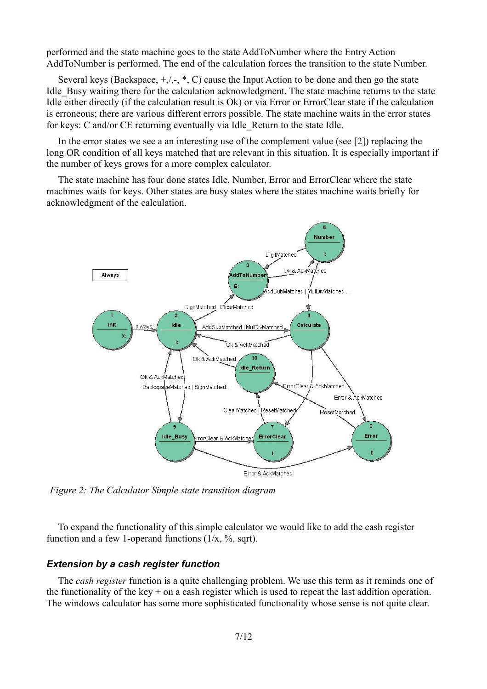performed and the state machine goes to the state AddToNumber where the Entry Action AddToNumber is performed. The end of the calculation forces the transition to the state Number.

Several keys (Backspace,  $+/-$ ,  $*$ , C) cause the Input Action to be done and then go the state Idle Busy waiting there for the calculation acknowledgment. The state machine returns to the state Idle either directly (if the calculation result is Ok) or via Error or ErrorClear state if the calculation is erroneous; there are various different errors possible. The state machine waits in the error states for keys: C and/or CE returning eventually via Idle\_Return to the state Idle.

In the error states we see a an interesting use of the complement value (see [2]) replacing the long OR condition of all keys matched that are relevant in this situation. It is especially important if the number of keys grows for a more complex calculator.

The state machine has four done states Idle, Number, Error and ErrorClear where the state machines waits for keys. Other states are busy states where the states machine waits briefly for acknowledgment of the calculation.



<span id="page-6-0"></span>*Figure 2: The Calculator Simple state transition diagram*

To expand the functionality of this simple calculator we would like to add the cash register function and a few 1-operand functions  $(1/x, %, sqrt)$ .

### *Extension by a cash register function*

The *cash register* function is a quite challenging problem. We use this term as it reminds one of the functionality of the key  $+$  on a cash register which is used to repeat the last addition operation. The windows calculator has some more sophisticated functionality whose sense is not quite clear.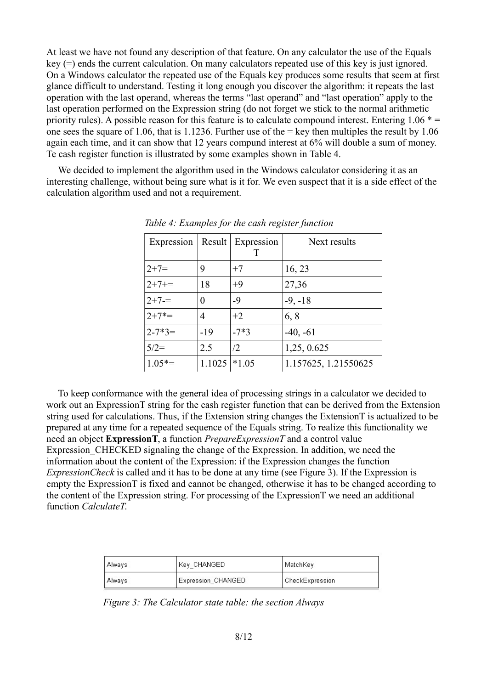At least we have not found any description of that feature. On any calculator the use of the Equals key (=) ends the current calculation. On many calculators repeated use of this key is just ignored. On a Windows calculator the repeated use of the Equals key produces some results that seem at first glance difficult to understand. Testing it long enough you discover the algorithm: it repeats the last operation with the last operand, whereas the terms "last operand" and "last operation" apply to the last operation performed on the Expression string (do not forget we stick to the normal arithmetic priority rules). A possible reason for this feature is to calculate compound interest. Entering  $1.06 * =$ one sees the square of 1.06, that is 1.1236. Further use of the  $=$  key then multiples the result by 1.06 again each time, and it can show that 12 years compund interest at 6% will double a sum of money. Te cash register function is illustrated by some examples shown in [Table 4.](#page-7-1)

We decided to implement the algorithm used in the Windows calculator considering it as an interesting challenge, without being sure what is it for. We even suspect that it is a side effect of the calculation algorithm used and not a requirement.

| Expression  |          | Result Expression<br>Т | Next results         |
|-------------|----------|------------------------|----------------------|
| $2+7=$      | 9        | $+7$                   | 16, 23               |
| $2+7+=$     | 18       | $+9$                   | 27,36                |
| $2+7=$      | $\theta$ | $-9$                   | $-9, -18$            |
| $2+7^* =$   | 4        | $+2$                   | 6, 8                 |
| $2 - 7*3 =$ | $-19$    | $-7*3$                 | $-40, -61$           |
| $5/2=$      | 2.5      | /2                     | 1,25, 0.625          |
| $1.05*=$    | 1.1025   | $*1.05$                | 1.157625, 1.21550625 |

<span id="page-7-1"></span>*Table 4: Examples for the cash register function*

To keep conformance with the general idea of processing strings in a calculator we decided to work out an ExpressionT string for the cash register function that can be derived from the Extension string used for calculations. Thus, if the Extension string changes the ExtensionT is actualized to be prepared at any time for a repeated sequence of the Equals string. To realize this functionality we need an object **ExpressionT**, a function *PrepareExpressionT* and a control value Expression CHECKED signaling the change of the Expression. In addition, we need the information about the content of the Expression: if the Expression changes the function *ExpressionCheck* is called and it has to be done at any time (see [Figure 3\)](#page-7-0). If the Expression is empty the ExpressionT is fixed and cannot be changed, otherwise it has to be changed according to the content of the Expression string. For processing of the ExpressionT we need an additional function *CalculateT*.

| Always                         | Key CHANGED | MatchKey        |  |
|--------------------------------|-------------|-----------------|--|
| Expression CHANGED<br>, Always |             | CheckExpression |  |

<span id="page-7-0"></span>*Figure 3: The Calculator state table: the section Always*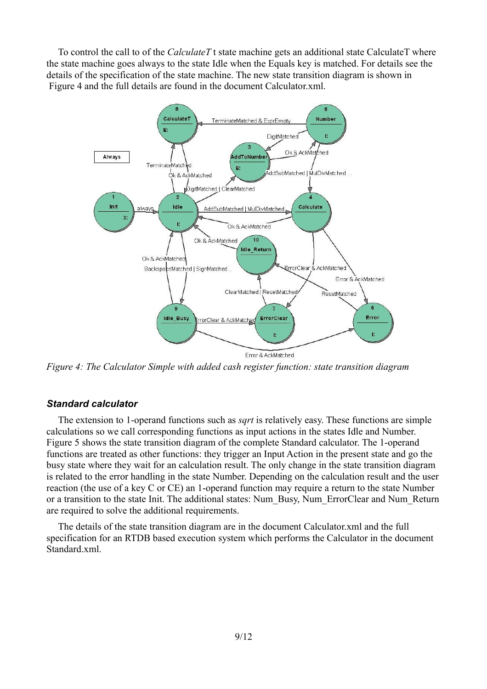To control the call to of the *CalculateT* t state machine gets an additional state CalculateT where the state machine goes always to the state Idle when the Equals key is matched. For details see the details of the specification of the state machine. The new state transition diagram is shown in [Figure 4](#page-8-0) and the full details are found in the document Calculator.xml.



<span id="page-8-0"></span>*Figure 4: The Calculator Simple with added cash register function: state transition diagram*

### *Standard calculator*

The extension to 1-operand functions such as *sqrt* is relatively easy. These functions are simple calculations so we call corresponding functions as input actions in the states Idle and Number. [Figure 5](#page-9-0) shows the state transition diagram of the complete Standard calculator. The 1-operand functions are treated as other functions: they trigger an Input Action in the present state and go the busy state where they wait for an calculation result. The only change in the state transition diagram is related to the error handling in the state Number. Depending on the calculation result and the user reaction (the use of a key C or CE) an 1-operand function may require a return to the state Number or a transition to the state Init. The additional states: Num\_Busy, Num\_ErrorClear and Num\_Return are required to solve the additional requirements.

The details of the state transition diagram are in the document Calculator.xml and the full specification for an RTDB based execution system which performs the Calculator in the document Standard xml.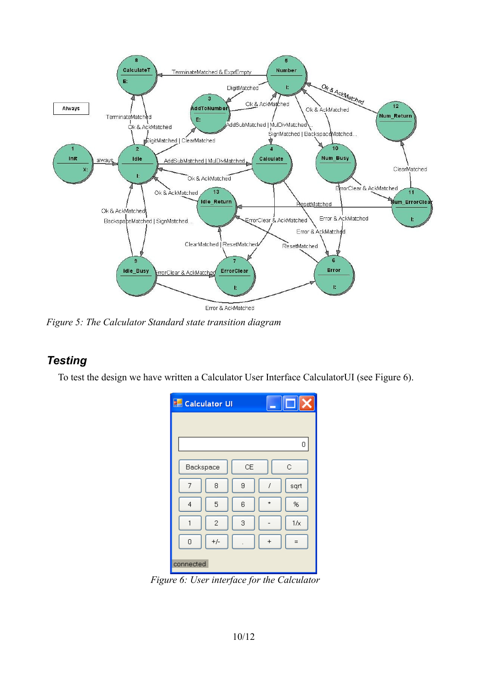

<span id="page-9-0"></span>*Figure 5: The Calculator Standard state transition diagram*

# *Testing*

To test the design we have written a Calculator User Interface CalculatorUI (see [Figure 6\)](#page-9-1).

| <b>Calculator UI</b> |       |    |           |      |
|----------------------|-------|----|-----------|------|
|                      |       |    |           |      |
|                      |       |    |           | 0    |
|                      |       |    |           |      |
| Backspace            |       | CE |           | C    |
| 7                    | 8     | 9  |           | sqrt |
| 4                    | 5     | 6  | $\star$   | %    |
| 1                    | 2     | 3  |           | 1/x  |
| 0                    | $+/-$ |    | $\ddot{}$ |      |
| connected            |       |    |           |      |

<span id="page-9-1"></span>*Figure 6: User interface for the Calculator*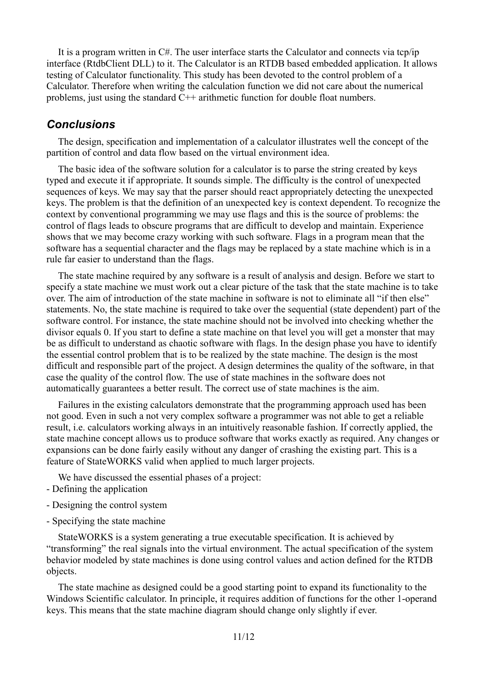It is a program written in C#. The user interface starts the Calculator and connects via tcp/ip interface (RtdbClient DLL) to it. The Calculator is an RTDB based embedded application. It allows testing of Calculator functionality. This study has been devoted to the control problem of a Calculator. Therefore when writing the calculation function we did not care about the numerical problems, just using the standard C++ arithmetic function for double float numbers.

## *Conclusions*

The design, specification and implementation of a calculator illustrates well the concept of the partition of control and data flow based on the virtual environment idea.

The basic idea of the software solution for a calculator is to parse the string created by keys typed and execute it if appropriate. It sounds simple. The difficulty is the control of unexpected sequences of keys. We may say that the parser should react appropriately detecting the unexpected keys. The problem is that the definition of an unexpected key is context dependent. To recognize the context by conventional programming we may use flags and this is the source of problems: the control of flags leads to obscure programs that are difficult to develop and maintain. Experience shows that we may become crazy working with such software. Flags in a program mean that the software has a sequential character and the flags may be replaced by a state machine which is in a rule far easier to understand than the flags.

The state machine required by any software is a result of analysis and design. Before we start to specify a state machine we must work out a clear picture of the task that the state machine is to take over. The aim of introduction of the state machine in software is not to eliminate all "if then else" statements. No, the state machine is required to take over the sequential (state dependent) part of the software control. For instance, the state machine should not be involved into checking whether the divisor equals 0. If you start to define a state machine on that level you will get a monster that may be as difficult to understand as chaotic software with flags. In the design phase you have to identify the essential control problem that is to be realized by the state machine. The design is the most difficult and responsible part of the project. A design determines the quality of the software, in that case the quality of the control flow. The use of state machines in the software does not automatically guarantees a better result. The correct use of state machines is the aim.

Failures in the existing calculators demonstrate that the programming approach used has been not good. Even in such a not very complex software a programmer was not able to get a reliable result, i.e. calculators working always in an intuitively reasonable fashion. If correctly applied, the state machine concept allows us to produce software that works exactly as required. Any changes or expansions can be done fairly easily without any danger of crashing the existing part. This is a feature of StateWORKS valid when applied to much larger projects.

We have discussed the essential phases of a project:

- Defining the application
- Designing the control system
- Specifying the state machine

StateWORKS is a system generating a true executable specification. It is achieved by "transforming" the real signals into the virtual environment. The actual specification of the system behavior modeled by state machines is done using control values and action defined for the RTDB objects.

The state machine as designed could be a good starting point to expand its functionality to the Windows Scientific calculator. In principle, it requires addition of functions for the other 1-operand keys. This means that the state machine diagram should change only slightly if ever.